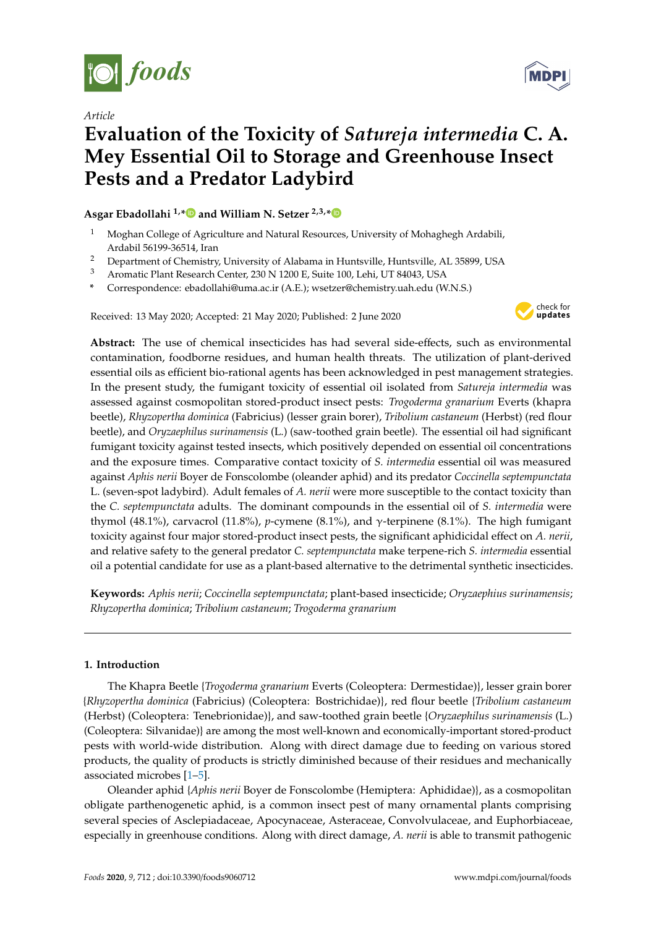

*Article*



# **Evaluation of the Toxicity of** *Satureja intermedia* **C. A. Mey Essential Oil to Storage and Greenhouse Insect Pests and a Predator Ladybird**

# **Asgar Ebadollahi 1,[\\*](https://orcid.org/0000-0003-3276-1608) and William N. Setzer 2,3,[\\*](https://orcid.org/0000-0002-3639-0528)**

- <sup>1</sup> Moghan College of Agriculture and Natural Resources, University of Mohaghegh Ardabili, Ardabil 56199-36514, Iran
- <sup>2</sup> Department of Chemistry, University of Alabama in Huntsville, Huntsville, AL 35899, USA
- <sup>3</sup> Aromatic Plant Research Center, 230 N 1200 E, Suite 100, Lehi, UT 84043, USA
- **\*** Correspondence: ebadollahi@uma.ac.ir (A.E.); wsetzer@chemistry.uah.edu (W.N.S.)

Received: 13 May 2020; Accepted: 21 May 2020; Published: 2 June 2020



**Abstract:** The use of chemical insecticides has had several side-effects, such as environmental contamination, foodborne residues, and human health threats. The utilization of plant-derived essential oils as efficient bio-rational agents has been acknowledged in pest management strategies. In the present study, the fumigant toxicity of essential oil isolated from *Satureja intermedia* was assessed against cosmopolitan stored-product insect pests: *Trogoderma granarium* Everts (khapra beetle), *Rhyzopertha dominica* (Fabricius) (lesser grain borer), *Tribolium castaneum* (Herbst) (red flour beetle), and *Oryzaephilus surinamensis* (L.) (saw-toothed grain beetle). The essential oil had significant fumigant toxicity against tested insects, which positively depended on essential oil concentrations and the exposure times. Comparative contact toxicity of *S. intermedia* essential oil was measured against *Aphis nerii* Boyer de Fonscolombe (oleander aphid) and its predator *Coccinella septempunctata* L. (seven-spot ladybird). Adult females of *A. nerii* were more susceptible to the contact toxicity than the *C. septempunctata* adults. The dominant compounds in the essential oil of *S. intermedia* were thymol (48.1%), carvacrol (11.8%), *p*-cymene (8.1%), and γ-terpinene (8.1%). The high fumigant toxicity against four major stored-product insect pests, the significant aphidicidal effect on *A. nerii*, and relative safety to the general predator *C. septempunctata* make terpene-rich *S. intermedia* essential oil a potential candidate for use as a plant-based alternative to the detrimental synthetic insecticides.

**Keywords:** *Aphis nerii*; *Coccinella septempunctata*; plant-based insecticide; *Oryzaephius surinamensis*; *Rhyzopertha dominica*; *Tribolium castaneum*; *Trogoderma granarium*

# **1. Introduction**

The Khapra Beetle {*Trogoderma granarium* Everts (Coleoptera: Dermestidae)}, lesser grain borer {*Rhyzopertha dominica* (Fabricius) (Coleoptera: Bostrichidae)}, red flour beetle {*Tribolium castaneum* (Herbst) (Coleoptera: Tenebrionidae)}, and saw-toothed grain beetle {*Oryzaephilus surinamensis* (L.) (Coleoptera: Silvanidae)} are among the most well-known and economically-important stored-product pests with world-wide distribution. Along with direct damage due to feeding on various stored products, the quality of products is strictly diminished because of their residues and mechanically associated microbes [\[1–](#page-8-0)[5\]](#page-8-1).

Oleander aphid {*Aphis nerii* Boyer de Fonscolombe (Hemiptera: Aphididae)}, as a cosmopolitan obligate parthenogenetic aphid, is a common insect pest of many ornamental plants comprising several species of Asclepiadaceae, Apocynaceae, Asteraceae, Convolvulaceae, and Euphorbiaceae, especially in greenhouse conditions. Along with direct damage, *A. nerii* is able to transmit pathogenic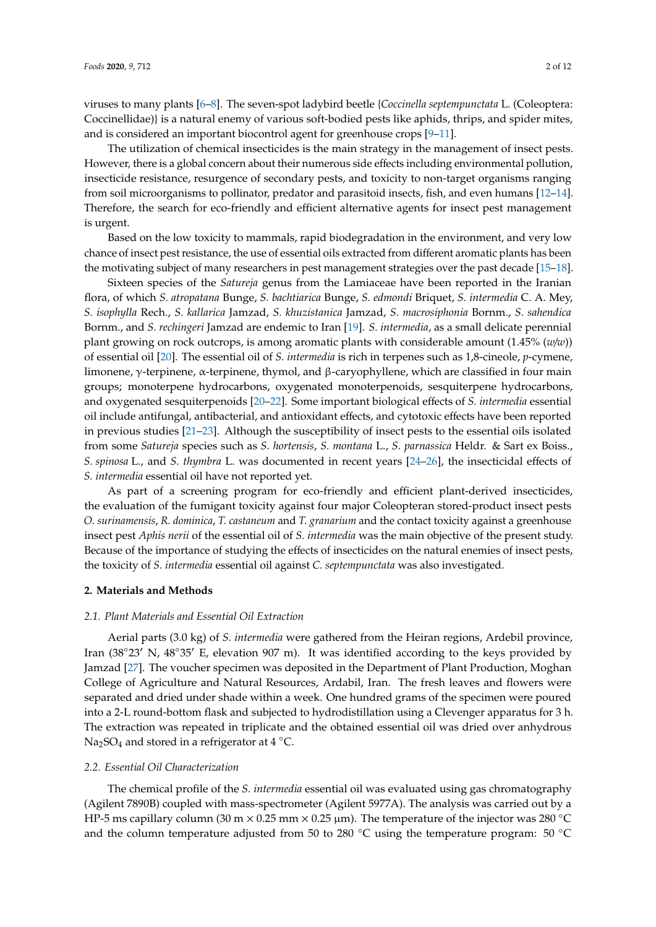viruses to many plants [\[6](#page-8-2)[–8\]](#page-8-3). The seven-spot ladybird beetle {*Coccinella septempunctata* L. (Coleoptera: Coccinellidae)} is a natural enemy of various soft-bodied pests like aphids, thrips, and spider mites, and is considered an important biocontrol agent for greenhouse crops [\[9–](#page-8-4)[11\]](#page-8-5).

The utilization of chemical insecticides is the main strategy in the management of insect pests. However, there is a global concern about their numerous side effects including environmental pollution, insecticide resistance, resurgence of secondary pests, and toxicity to non-target organisms ranging from soil microorganisms to pollinator, predator and parasitoid insects, fish, and even humans [\[12–](#page-8-6)[14\]](#page-8-7). Therefore, the search for eco-friendly and efficient alternative agents for insect pest management is urgent.

Based on the low toxicity to mammals, rapid biodegradation in the environment, and very low chance of insect pest resistance, the use of essential oils extracted from different aromatic plants has been the motivating subject of many researchers in pest management strategies over the past decade [\[15–](#page-8-8)[18\]](#page-8-9).

Sixteen species of the *Satureja* genus from the Lamiaceae have been reported in the Iranian flora, of which *S. atropatana* Bunge, *S. bachtiarica* Bunge, *S. edmondi* Briquet, *S. intermedia* C. A. Mey, *S. isophylla* Rech., *S. kallarica* Jamzad, *S. khuzistanica* Jamzad, *S. macrosiphonia* Bornm., *S. sahendica* Bornm., and *S. rechingeri* Jamzad are endemic to Iran [\[19\]](#page-8-10). *S. intermedia*, as a small delicate perennial plant growing on rock outcrops, is among aromatic plants with considerable amount (1.45% (*w*/*w*)) of essential oil [\[20\]](#page-8-11). The essential oil of *S. intermedia* is rich in terpenes such as 1,8-cineole, *p*-cymene, limonene, γ-terpinene, α-terpinene, thymol, and β-caryophyllene, which are classified in four main groups; monoterpene hydrocarbons, oxygenated monoterpenoids, sesquiterpene hydrocarbons, and oxygenated sesquiterpenoids [\[20](#page-8-11)[–22\]](#page-9-0). Some important biological effects of *S. intermedia* essential oil include antifungal, antibacterial, and antioxidant effects, and cytotoxic effects have been reported in previous studies [\[21–](#page-9-1)[23\]](#page-9-2). Although the susceptibility of insect pests to the essential oils isolated from some *Satureja* species such as *S. hortensis*, *S. montana* L., *S. parnassica* Heldr. & Sart ex Boiss., *S. spinosa* L., and *S. thymbra* L. was documented in recent years [\[24](#page-9-3)[–26\]](#page-9-4), the insecticidal effects of *S. intermedia* essential oil have not reported yet.

As part of a screening program for eco-friendly and efficient plant-derived insecticides, the evaluation of the fumigant toxicity against four major Coleopteran stored-product insect pests *O. surinamensis*, *R. dominica*, *T. castaneum* and *T. granarium* and the contact toxicity against a greenhouse insect pest *Aphis nerii* of the essential oil of *S. intermedia* was the main objective of the present study. Because of the importance of studying the effects of insecticides on the natural enemies of insect pests, the toxicity of *S. intermedia* essential oil against *C. septempunctata* was also investigated.

# **2. Materials and Methods**

#### *2.1. Plant Materials and Essential Oil Extraction*

Aerial parts (3.0 kg) of *S. intermedia* were gathered from the Heiran regions, Ardebil province, Iran (38°23′ N, 48°35′ E, elevation 907 m). It was identified according to the keys provided by Jamzad [\[27\]](#page-9-5). The voucher specimen was deposited in the Department of Plant Production, Moghan College of Agriculture and Natural Resources, Ardabil, Iran. The fresh leaves and flowers were separated and dried under shade within a week. One hundred grams of the specimen were poured into a 2-L round-bottom flask and subjected to hydrodistillation using a Clevenger apparatus for 3 h. The extraction was repeated in triplicate and the obtained essential oil was dried over anhydrous Na<sub>2</sub>SO<sub>4</sub> and stored in a refrigerator at  $4 °C$ .

# *2.2. Essential Oil Characterization*

The chemical profile of the *S. intermedia* essential oil was evaluated using gas chromatography (Agilent 7890B) coupled with mass-spectrometer (Agilent 5977A). The analysis was carried out by a HP-5 ms capillary column (30 m  $\times$  0.25 mm  $\times$  0.25 µm). The temperature of the injector was 280 °C and the column temperature adjusted from 50 to 280  $°C$  using the temperature program: 50  $°C$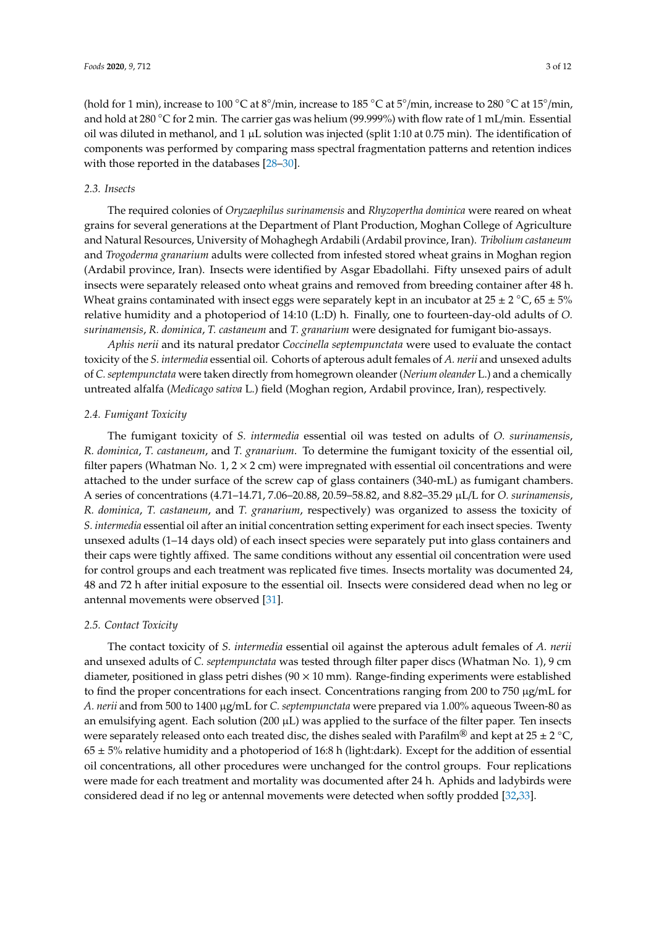(hold for 1 min), increase to 100 °C at  $8^{\circ}/$ min, increase to 185 °C at 5°/min, increase to 280 °C at 15°/min, and hold at 280 ◦C for 2 min. The carrier gas was helium (99.999%) with flow rate of 1 mL/min. Essential oil was diluted in methanol, and 1  $\mu$ L solution was injected (split 1:10 at 0.75 min). The identification of components was performed by comparing mass spectral fragmentation patterns and retention indices with those reported in the databases [\[28–](#page-9-6)[30\]](#page-9-7).

# *2.3. Insects*

The required colonies of *Oryzaephilus surinamensis* and *Rhyzopertha dominica* were reared on wheat grains for several generations at the Department of Plant Production, Moghan College of Agriculture and Natural Resources, University of Mohaghegh Ardabili (Ardabil province, Iran). *Tribolium castaneum* and *Trogoderma granarium* adults were collected from infested stored wheat grains in Moghan region (Ardabil province, Iran). Insects were identified by Asgar Ebadollahi. Fifty unsexed pairs of adult insects were separately released onto wheat grains and removed from breeding container after 48 h. Wheat grains contaminated with insect eggs were separately kept in an incubator at  $25 \pm 2$  °C,  $65 \pm 5$ % relative humidity and a photoperiod of 14:10 (L:D) h. Finally, one to fourteen-day-old adults of *O. surinamensis*, *R. dominica*, *T. castaneum* and *T. granarium* were designated for fumigant bio-assays.

*Aphis nerii* and its natural predator *Coccinella septempunctata* were used to evaluate the contact toxicity of the *S. intermedia* essential oil. Cohorts of apterous adult females of *A. nerii* and unsexed adults of *C. septempunctata* were taken directly from homegrown oleander (*Nerium oleander* L.) and a chemically untreated alfalfa (*Medicago sativa* L.) field (Moghan region, Ardabil province, Iran), respectively.

# *2.4. Fumigant Toxicity*

The fumigant toxicity of *S. intermedia* essential oil was tested on adults of *O. surinamensis*, *R. dominica*, *T. castaneum*, and *T. granarium*. To determine the fumigant toxicity of the essential oil, filter papers (Whatman No.  $1, 2 \times 2$  cm) were impregnated with essential oil concentrations and were attached to the under surface of the screw cap of glass containers (340-mL) as fumigant chambers. A series of concentrations (4.71–14.71, 7.06–20.88, 20.59–58.82, and 8.82–35.29 µL/L for *O. surinamensis*, *R. dominica*, *T. castaneum*, and *T. granarium*, respectively) was organized to assess the toxicity of *S. intermedia* essential oil after an initial concentration setting experiment for each insect species. Twenty unsexed adults (1–14 days old) of each insect species were separately put into glass containers and their caps were tightly affixed. The same conditions without any essential oil concentration were used for control groups and each treatment was replicated five times. Insects mortality was documented 24, 48 and 72 h after initial exposure to the essential oil. Insects were considered dead when no leg or antennal movements were observed [\[31\]](#page-9-8).

#### *2.5. Contact Toxicity*

The contact toxicity of *S. intermedia* essential oil against the apterous adult females of *A. nerii* and unsexed adults of *C. septempunctata* was tested through filter paper discs (Whatman No. 1), 9 cm diameter, positioned in glass petri dishes  $(90 \times 10 \text{ mm})$ . Range-finding experiments were established to find the proper concentrations for each insect. Concentrations ranging from 200 to 750 µg/mL for *A. nerii* and from 500 to 1400 µg/mL for *C. septempunctata* were prepared via 1.00% aqueous Tween-80 as an emulsifying agent. Each solution (200  $\mu$ L) was applied to the surface of the filter paper. Ten insects were separately released onto each treated disc, the dishes sealed with Parafilm® and kept at 25 ± 2 °C,  $65 \pm 5\%$  relative humidity and a photoperiod of 16:8 h (light:dark). Except for the addition of essential oil concentrations, all other procedures were unchanged for the control groups. Four replications were made for each treatment and mortality was documented after 24 h. Aphids and ladybirds were considered dead if no leg or antennal movements were detected when softly prodded [\[32,](#page-9-9)[33\]](#page-9-10).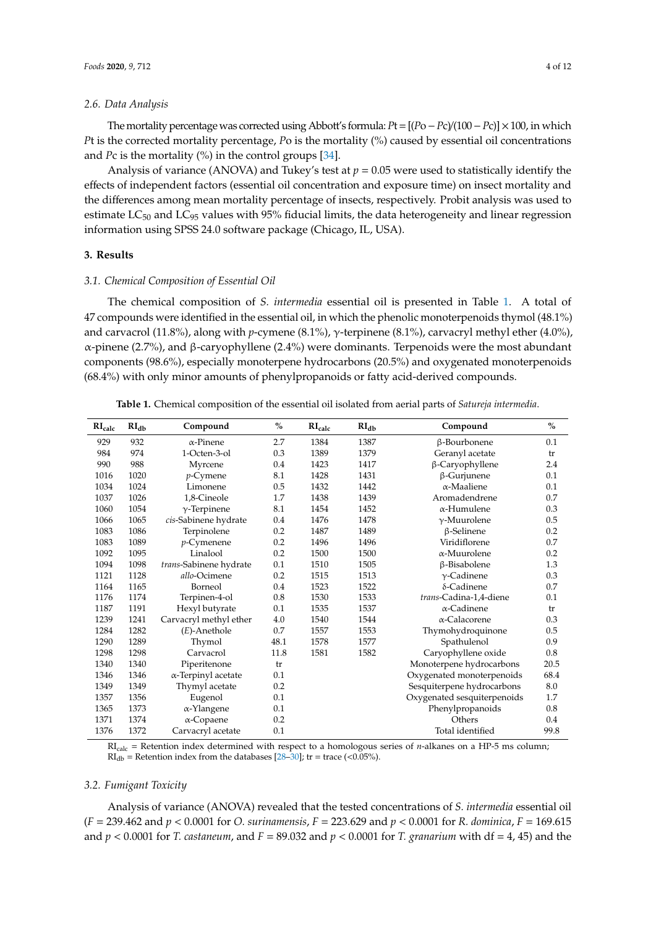# *2.6. Data Analysis*

The mortality percentage was corrected using Abbott's formula:*P*t=[(*P*o−*P*c)/(100−*P*c)]×100, in which *Pt* is the corrected mortality percentage, *Po* is the mortality (%) caused by essential oil concentrations and *Pc* is the mortality (%) in the control groups [\[34\]](#page-9-11).

Analysis of variance (ANOVA) and Tukey's test at  $p = 0.05$  were used to statistically identify the effects of independent factors (essential oil concentration and exposure time) on insect mortality and the differences among mean mortality percentage of insects, respectively. Probit analysis was used to estimate  $LC_{50}$  and  $LC_{95}$  values with 95% fiducial limits, the data heterogeneity and linear regression information using SPSS 24.0 software package (Chicago, IL, USA).

## **3. Results**

# *3.1. Chemical Composition of Essential Oil*

The chemical composition of *S. intermedia* essential oil is presented in Table [1.](#page-3-0) A total of 47 compounds were identified in the essential oil, in which the phenolic monoterpenoids thymol (48.1%) and carvacrol (11.8%), along with *p*-cymene (8.1%), γ-terpinene (8.1%), carvacryl methyl ether (4.0%), α-pinene (2.7%), and β-caryophyllene (2.4%) were dominants. Terpenoids were the most abundant components (98.6%), especially monoterpene hydrocarbons (20.5%) and oxygenated monoterpenoids (68.4%) with only minor amounts of phenylpropanoids or fatty acid-derived compounds.

<span id="page-3-0"></span>

| RI <sub>calc</sub> | RI <sub>dh</sub> | Compound                   | $\%$ | RI <sub>calc</sub> | $RI_{db}$ | Compound                    | $\%$    |
|--------------------|------------------|----------------------------|------|--------------------|-----------|-----------------------------|---------|
| 929                | 932              | $\alpha$ -Pinene           | 2.7  | 1384               | 1387      | β-Bourbonene                | 0.1     |
| 984                | 974              | 1-Octen-3-ol               | 0.3  | 1389               | 1379      | Geranyl acetate             | tr      |
| 990                | 988              | Myrcene                    | 0.4  | 1423               | 1417      | β-Caryophyllene             | 2.4     |
| 1016               | 1020             | $p$ -Cymene                | 8.1  | 1428               | 1431      | $\beta$ -Gurjunene          | 0.1     |
| 1034               | 1024             | Limonene                   | 0.5  | 1432               | 1442      | $\alpha$ -Maaliene          | 0.1     |
| 1037               | 1026             | 1,8-Cineole                | 1.7  | 1438               | 1439      | Aromadendrene               | 0.7     |
| 1060               | 1054             | $\gamma$ -Terpinene        | 8.1  | 1454               | 1452      | $\alpha$ -Humulene          | 0.3     |
| 1066               | 1065             | cis-Sabinene hydrate       | 0.4  | 1476               | 1478      | $\gamma$ -Muurolene         | 0.5     |
| 1083               | 1086             | Terpinolene                | 0.2  | 1487               | 1489      | $\beta$ -Selinene           | 0.2     |
| 1083               | 1089             | $p$ -Cymenene              | 0.2  | 1496               | 1496      | Viridiflorene               | $0.7\,$ |
| 1092               | 1095             | Linalool                   | 0.2  | 1500               | 1500      | $\alpha$ -Muurolene         | 0.2     |
| 1094               | 1098             | trans-Sabinene hydrate     | 0.1  | 1510               | 1505      | β-Bisabolene                | 1.3     |
| 1121               | 1128             | allo-Ocimene               | 0.2  | 1515               | 1513      | $\gamma$ -Cadinene          | 0.3     |
| 1164               | 1165             | Borneol                    | 0.4  | 1523               | 1522      | $\delta$ -Cadinene          | 0.7     |
| 1176               | 1174             | Terpinen-4-ol              | 0.8  | 1530               | 1533      | trans-Cadina-1,4-diene      | 0.1     |
| 1187               | 1191             | Hexyl butyrate             | 0.1  | 1535               | 1537      | $\alpha$ -Cadinene          | tr      |
| 1239               | 1241             | Carvacryl methyl ether     | 4.0  | 1540               | 1544      | $\alpha$ -Calacorene        | 0.3     |
| 1284               | 1282             | $(E)$ -Anethole            | 0.7  | 1557               | 1553      | Thymohydroquinone           | 0.5     |
| 1290               | 1289             | Thymol                     | 48.1 | 1578               | 1577      | Spathulenol                 | 0.9     |
| 1298               | 1298             | Carvacrol                  | 11.8 | 1581               | 1582      | Caryophyllene oxide         | 0.8     |
| 1340               | 1340             | Piperitenone               | tr   |                    |           | Monoterpene hydrocarbons    | 20.5    |
| 1346               | 1346             | $\alpha$ -Terpinyl acetate | 0.1  |                    |           | Oxygenated monoterpenoids   | 68.4    |
| 1349               | 1349             | Thymyl acetate             | 0.2  |                    |           | Sesquiterpene hydrocarbons  | 8.0     |
| 1357               | 1356             | Eugenol                    | 0.1  |                    |           | Oxygenated sesquiterpenoids | 1.7     |
| 1365               | 1373             | α-Ylangene                 | 0.1  |                    |           | Phenylpropanoids            | 0.8     |
| 1371               | 1374             | $\alpha$ -Copaene          | 0.2  |                    |           | Others                      | 0.4     |
| 1376               | 1372             | Carvacryl acetate          | 0.1  |                    |           | Total identified            | 99.8    |

**Table 1.** Chemical composition of the essential oil isolated from aerial parts of *Satureja intermedia*.

RIcalc = Retention index determined with respect to a homologous series of *n*-alkanes on a HP-5 ms column;  $RI<sub>db</sub>$  = Retention index from the databases [\[28–](#page-9-6)[30\]](#page-9-7); tr = trace (<0.05%).

#### *3.2. Fumigant Toxicity*

Analysis of variance (ANOVA) revealed that the tested concentrations of *S. intermedia* essential oil (*F* = 239.462 and *p* < 0.0001 for *O. surinamensis*, *F* = 223.629 and *p* < 0.0001 for *R. dominica*, *F* = 169.615 and  $p < 0.0001$  for *T. castaneum*, and  $F = 89.032$  and  $p < 0.0001$  for *T. granarium* with df = 4, 45) and the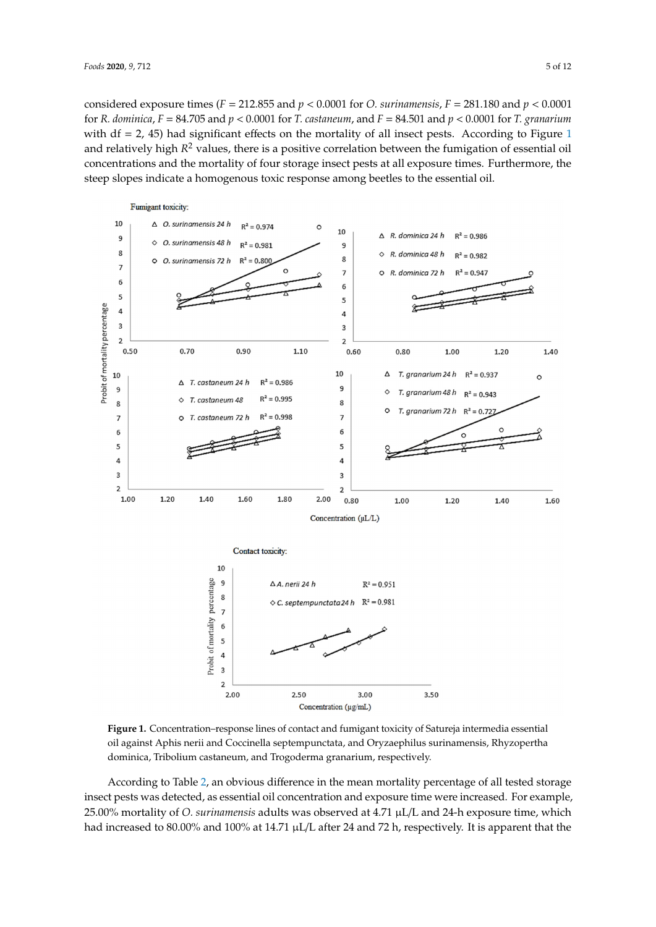considered exposure times ( $F = 212.855$  and  $p < 0.0001$  for *O. surinamensis,*  $F = 281.180$  and  $p < 0.0001$ for R. dominica, F = 84.705 and  $p < 0.0001$  for T. castaneum, and F = 84.501 and  $p < 0.0001$  for T. granarium with  $df = 2$ , 45) had significant effects on the mortality of all insect pests. According to Figure 1 and relatively high *R*<sup>2</sup> values, there is a positive correlation between the fumigation of essential oil concentrations and the mortality of four storage insect pests at all exposure times. Furthermore, the concentrations and the mortality of four storage insect pests at all exposure times. Furthermore, the steep slopes indicate a homogenous toxic response among beetles to the essential oil. steep slopes indicate a homogenous toxic response among beetles to the essential oil.

<span id="page-4-0"></span>

**Figure 1.** Concentration–response lines of contact and fumigant toxicity of Satureja intermedia oil against Aphis nerii and Coccinella septempunctata, and Oryzaephilus surinamensis, Rhyzopertha<br>Limanis de la limanis dominica, Tribolium castaneum, and Trogoderma granarium, respectively. **Figure 1.** Concentration–response lines of contact and fumigant toxicity of Satureja intermedia essential

insect pests was detected, as essential oil concentration and exposure time were increased. For example, 25.00% mortality of *O. surinamensis* adults was observed at 4.71 μL/L and 24-h exposure time, which According to Table [2,](#page-5-0) an obvious difference in the mean mortality percentage of all tested storage had increased to 80.00% and 100% at 14.71  $\mu$ L/L after 24 and 72 h, respectively. It is apparent that the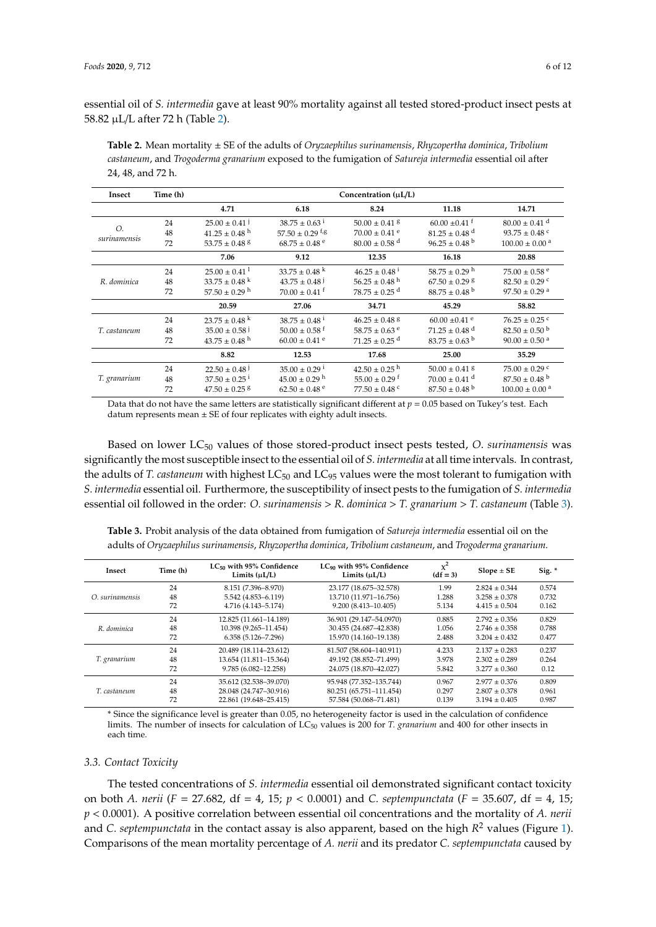essential oil of *S. intermedia* gave at least 90% mortality against all tested stored-product insect pests at 58.82 µL/L after 72 h (Table [2\)](#page-5-0).

<span id="page-5-0"></span>**Table 2.** Mean mortality ± SE of the adults of *Oryzaephilus surinamensis*, *Rhyzopertha dominica*, *Tribolium castaneum*, and *Trogoderma granarium* exposed to the fumigation of *Satureja intermedia* essential oil after 24, 48, and 72 h.

| Insect       | Time (h) | Concentration $(\mu L/L)$     |                                  |                               |                               |                                |
|--------------|----------|-------------------------------|----------------------------------|-------------------------------|-------------------------------|--------------------------------|
|              |          | 4.71                          | 6.18                             | 8.24                          | 11.18                         | 14.71                          |
|              | 24       | $25.00 \pm 0.41$ <sup>j</sup> | $38.75 \pm 0.63^{\text{ i}}$     | $50.00 \pm 0.41$ g            | $60.00 \pm 0.41$ <sup>f</sup> | $80.00 \pm 0.41$ <sup>d</sup>  |
| Ο.           | 48       | $41.25 \pm 0.48$ <sup>h</sup> | $57.50 \pm 0.29$ f <sub>/8</sub> | $70.00 \pm 0.41$ <sup>e</sup> | $81.25 \pm 0.48$ <sup>d</sup> | 93.75 $\pm$ 0.48 °             |
| surinamensis | 72       | $53.75 \pm 0.48$ <sup>8</sup> | $68.75 \pm 0.48$ <sup>e</sup>    | $80.00 \pm 0.58$ <sup>d</sup> | $96.25 \pm 0.48$ <sup>b</sup> | $100.00 \pm 0.00$ <sup>a</sup> |
|              |          | 7.06                          | 9.12                             | 12.35                         | 16.18                         | 20.88                          |
|              | 24       | $25.00 \pm 0.41$ <sup>1</sup> | $33.75 \pm 0.48$ <sup>k</sup>    | $46.25 \pm 0.48^{\text{1}}$   | $58.75 \pm 0.29$ <sup>h</sup> | $75.00 \pm 0.58$ <sup>e</sup>  |
| R. dominica  | 48       | $33.75 \pm 0.48$ <sup>k</sup> | $43.75 \pm 0.48$ <sup>j</sup>    | $56.25 \pm 0.48$ <sup>h</sup> | $67.50 \pm 0.29$ g            | $82.50 \pm 0.29$ c             |
|              | 72       | $57.50 \pm 0.29$ <sup>h</sup> | $70.00 \pm 0.41$ <sup>f</sup>    | $78.75 \pm 0.25$ <sup>d</sup> | $88.75 \pm 0.48^{\mathrm{b}}$ | $97.50 \pm 0.29$ <sup>a</sup>  |
|              |          | 20.59                         | 27.06                            | 34.71                         | 45.29                         | 58.82                          |
|              | 24       | $23.75 \pm 0.48$ <sup>k</sup> | $38.75 \pm 0.48^{\text{ i}}$     | $46.25 \pm 0.48$ <sup>g</sup> | $60.00 \pm 0.41$ e            | $76.25 \pm 0.25$ c             |
| T. castaneum | 48       | $35.00 \pm 0.58$ <sup>j</sup> | $50.00 \pm 0.58$ <sup>f</sup>    | $58.75 \pm 0.63$ e            | $71.25 \pm 0.48$ <sup>d</sup> | $82.50 \pm 0.50^{\mathrm{b}}$  |
|              | 72       | $43.75 \pm 0.48$ <sup>h</sup> | $60.00 \pm 0.41$ <sup>e</sup>    | $71.25 + 0.25$ <sup>d</sup>   | $83.75 \pm 0.63$ <sup>b</sup> | $90.00 \pm 0.50$ <sup>a</sup>  |
|              |          | 8.82                          | 12.53                            | 17.68                         | 25.00                         | 35.29                          |
|              | 24       | $22.50 \pm 0.48$              | $35.00 \pm 0.29$ <sup>1</sup>    | $42.50 \pm 0.25$ <sup>h</sup> | $50.00 \pm 0.41$ <sup>8</sup> | $75.00 \pm 0.29$ °             |
| T. granarium | 48       | $37.50 \pm 0.25$ <sup>i</sup> | $45.00 \pm 0.29$ h               | $55.00 \pm 0.29$ <sup>f</sup> | $70.00 \pm 0.41$ <sup>d</sup> | $87.50 \pm 0.48$ <sup>b</sup>  |
|              | 72       | $47.50 \pm 0.25$ <sup>g</sup> | $62.50 \pm 0.48$ <sup>e</sup>    | $77.50 \pm 0.48$ °            | $87.50 \pm 0.48$ <sup>b</sup> | $100.00 \pm 0.00$ <sup>a</sup> |

Data that do not have the same letters are statistically significant different at  $p = 0.05$  based on Tukey's test. Each datum represents mean  $\pm$  SE of four replicates with eighty adult insects.

Based on lower LC<sup>50</sup> values of those stored-product insect pests tested, *O*. *surinamensis* was significantly the most susceptible insect to the essential oil of *S. intermedia* at all time intervals. In contrast, the adults of *T. castaneum* with highest LC<sub>50</sub> and LC<sub>95</sub> values were the most tolerant to fumigation with *S. intermedia* essential oil. Furthermore, the susceptibility of insect pests to the fumigation of *S. intermedia* essential oil followed in the order: *O. surinamensis* > *R. dominica* > *T. granarium* > *T. castaneum* (Table [3\)](#page-5-1).

adults of *Oryzaephilus surinamensis*, *Rhyzopertha dominica*, *Tribolium castaneum*, and *Trogoderma granarium*. **Insect Time (h) LC<sup>50</sup> with 95% Confidence LC<sup>90</sup> with 95% Confidence** χ **2**  $\chi^2$  **Slope**  $\pm$  **SE** Sig. \*

<span id="page-5-1"></span>**Table 3.** Probit analysis of the data obtained from fumigation of *Satureja intermedia* essential oil on the

| Insect          | Time (h) | LC50 WILL 93 % COMMENCE<br>Limits $(\mu L/L)$ | LC an With 93% Commuence<br>Limits $(\mu L/L)$ | $(df = 3)$ | $Slope \pm SE$    | Sig. $*$ |  |
|-----------------|----------|-----------------------------------------------|------------------------------------------------|------------|-------------------|----------|--|
|                 | 24       | 8.151 (7.396-8.970)                           | 23.177 (18.675-32.578)                         | 1.99       | $2.824 \pm 0.344$ | 0.574    |  |
| O. surinamensis | 48       | 5.542 (4.853-6.119)                           | 13.710 (11.971-16.756)                         | 1.288      | $3.258 \pm 0.378$ | 0.732    |  |
|                 | 72       | 4.716 (4.143-5.174)                           | 9.200 (8.413-10.405)                           | 5.134      | $4.415 \pm 0.504$ | 0.162    |  |
|                 | 24       | 12.825 (11.661-14.189)                        | 36.901 (29.147-54.0970)                        | 0.885      | $2.792 \pm 0.356$ | 0.829    |  |
| R. dominica     | 48       | 10.398 (9.265-11.454)                         | 30.455 (24.687-42.838)                         | 1.056      | $2.746 \pm 0.358$ | 0.788    |  |
|                 | 72       | $6.358(5.126 - 7.296)$                        | 15.970 (14.160-19.138)                         | 2.488      | $3.204 \pm 0.432$ | 0.477    |  |
|                 | 24       | 20.489 (18.114-23.612)                        | 81.507 (58.604-140.911)                        | 4.233      | $2.137 + 0.283$   | 0.237    |  |
| T. granarium    | 48       | 13.654 (11.811-15.364)                        | 49.192 (38.852-71.499)                         | 3.978      | $2.302 \pm 0.289$ | 0.264    |  |
|                 | 72       | $9.785(6.082 - 12.258)$                       | 24.075 (18.870-42.027)                         | 5.842      | $3.277 \pm 0.360$ | 0.12     |  |
|                 | 24       | 35.612 (32.538-39.070)                        | 95.948 (77.352-135.744)                        | 0.967      | $2.977 \pm 0.376$ | 0.809    |  |
| T. castaneum    | 48       | 28.048 (24.747-30.916)                        | 80.251 (65.751-111.454)                        | 0.297      | $2.807 \pm 0.378$ | 0.961    |  |
|                 | 72       | 22.861 (19.648-25.415)                        | 57.584 (50.068-71.481)                         | 0.139      | $3.194 \pm 0.405$ | 0.987    |  |

\* Since the significance level is greater than 0.05, no heterogeneity factor is used in the calculation of confidence limits. The number of insects for calculation of LC<sub>50</sub> values is 200 for *T. granarium* and 400 for other insects in each time.

# *3.3. Contact Toxicity*

The tested concentrations of *S. intermedia* essential oil demonstrated significant contact toxicity on both *A. nerii* (*F* = 27.682, df = 4, 15; *p* < 0.0001) and *C. septempunctata* (*F* = 35.607, df = 4, 15; *p* < 0.0001). A positive correlation between essential oil concentrations and the mortality of *A. nerii* and *C. septempunctata* in the contact assay is also apparent, based on the high *R* <sup>2</sup> values (Figure [1\)](#page-4-0). Comparisons of the mean mortality percentage of *A. nerii* and its predator *C. septempunctata* caused by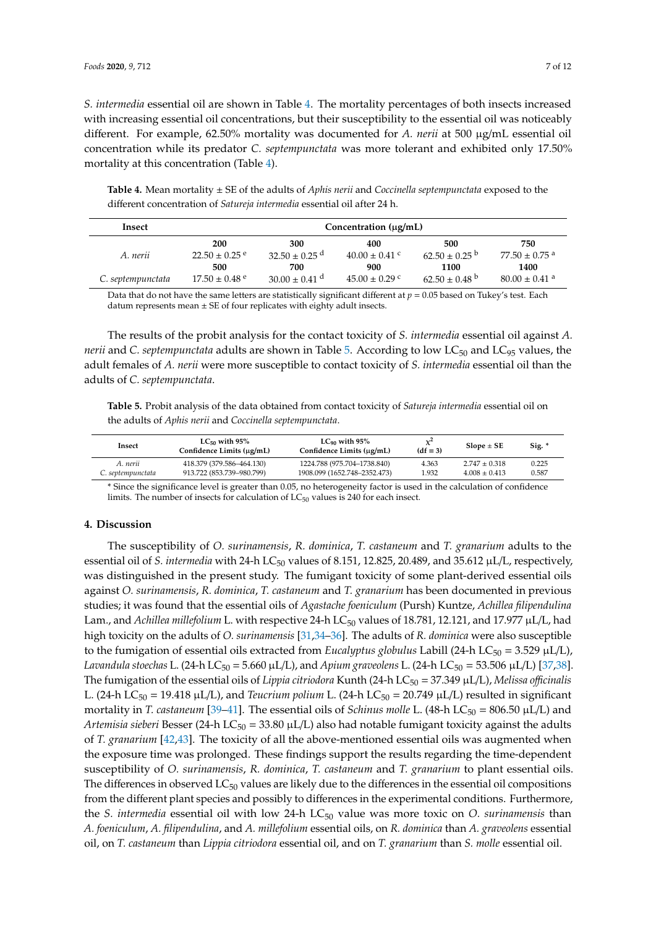*S. intermedia* essential oil are shown in Table [4.](#page-6-0) The mortality percentages of both insects increased with increasing essential oil concentrations, but their susceptibility to the essential oil was noticeably different. For example, 62.50% mortality was documented for *A. nerii* at 500 µg/mL essential oil concentration while its predator *C. septempunctata* was more tolerant and exhibited only 17.50% mortality at this concentration (Table [4\)](#page-6-0).

<span id="page-6-0"></span>**Table 4.** Mean mortality ± SE of the adults of *Aphis nerii* and *Coccinella septempunctata* exposed to the different concentration of *Satureja intermedia* essential oil after 24 h.

| Insect            |                               | Concentration $(\mu g/mL)$    |                    |                               |                               |
|-------------------|-------------------------------|-------------------------------|--------------------|-------------------------------|-------------------------------|
|                   | 200                           | 300                           | 400                | 500                           | 750                           |
| A. nerii          | $22.50 \pm 0.25$ <sup>e</sup> | $32.50 \pm 0.25$ <sup>d</sup> | $40.00 \pm 0.41$ c | $62.50 \pm 0.25$ b            | $77.50 \pm 0.75$ <sup>a</sup> |
|                   | 500                           | 700                           | 900                | 1100                          | 1400                          |
| C. septempunctata | $17.50 \pm 0.48$ e            | $30.00 \pm 0.41$ <sup>d</sup> | $45.00 \pm 0.29$ c | $62.50 \pm 0.48$ <sup>b</sup> | $80.00 \pm 0.41$ <sup>a</sup> |

Data that do not have the same letters are statistically significant different at *p* = 0.05 based on Tukey's test. Each datum represents mean  $\pm$  SE of four replicates with eighty adult insects.

The results of the probit analysis for the contact toxicity of *S. intermedia* essential oil against *A. nerii* and *C. septempunctata* adults are shown in Table [5.](#page-6-1) According to low LC<sub>50</sub> and LC<sub>95</sub> values, the adult females of *A. nerii* were more susceptible to contact toxicity of *S. intermedia* essential oil than the adults of *C. septempunctata*.

<span id="page-6-1"></span>**Table 5.** Probit analysis of the data obtained from contact toxicity of *Satureja intermedia* essential oil on the adults of *Aphis nerii* and *Coccinella septempunctata*.

| Insect            | LC <sub>50</sub> with 95%<br>Confidence Limits (µg/mL) | LC <sub>90</sub> with 95%<br>Confidence Limits (µg/mL) | $x^2$<br>$(df = 3)$ | $Slope \pm SE$  | Sig. * |
|-------------------|--------------------------------------------------------|--------------------------------------------------------|---------------------|-----------------|--------|
| A. nerii          | 418.379 (379.586-464.130)                              | 1224.788 (975.704–1738.840)                            | 4.363               | $2.747 + 0.318$ | 0.225  |
| C. septempunctata | 913.722 (853.739–980.799)                              | 1908.099 (1652.748-2352.473)                           | 1.932               | $4.008 + 0.413$ | 0.587  |

\* Since the significance level is greater than 0.05, no heterogeneity factor is used in the calculation of confidence limits. The number of insects for calculation of  $LC_{50}$  values is 240 for each insect.

# **4. Discussion**

The susceptibility of *O. surinamensis*, *R. dominica*, *T. castaneum* and *T. granarium* adults to the essential oil of *S. intermedia* with 24-h LC<sub>50</sub> values of 8.151, 12.825, 20.489, and 35.612  $\mu$ L/L, respectively, was distinguished in the present study. The fumigant toxicity of some plant-derived essential oils against *O. surinamensis*, *R. dominica*, *T. castaneum* and *T. granarium* has been documented in previous studies; it was found that the essential oils of *Agastache foeniculum* (Pursh) Kuntze, *Achillea filipendulina* Lam., and Achillea millefolium L. with respective 24-h LC<sub>50</sub> values of 18.781, 12.121, and 17.977 µL/L, had high toxicity on the adults of *O. surinamensis* [\[31](#page-9-8)[,34](#page-9-11)[–36\]](#page-9-12). The adults of *R. dominica* were also susceptible to the fumigation of essential oils extracted from *Eucalyptus globulus* Labill (24-h LC<sub>50</sub> = 3.529  $\mu$ L/L), *Lavandula stoechas* L. (24-h LC<sub>50</sub> = 5.660 μL/L), and *Apium graveolens* L. (24-h LC<sub>50</sub> = 53.506 μL/L) [\[37](#page-9-13)[,38\]](#page-9-14). The fumigation of the essential oils of *Lippia citriodora* Kunth (24-h LC<sup>50</sup> = 37.349 µL/L), *Melissa o*ffi*cinalis* L. (24-h LC<sub>50</sub> = 19.418 µL/L), and *Teucrium polium* L. (24-h LC<sub>50</sub> = 20.749 µL/L) resulted in significant mortality in *T. castaneum* [\[39](#page-9-15)[–41\]](#page-10-0). The essential oils of *Schinus molle* L. (48-h LC<sub>50</sub> = 806.50 µL/L) and *Artemisia sieberi* Besser (24-h LC<sub>50</sub> = 33.80  $\mu$ L/L) also had notable fumigant toxicity against the adults of *T. granarium* [\[42,](#page-10-1)[43\]](#page-10-2). The toxicity of all the above-mentioned essential oils was augmented when the exposure time was prolonged. These findings support the results regarding the time-dependent susceptibility of *O. surinamensis*, *R. dominica*, *T. castaneum* and *T. granarium* to plant essential oils. The differences in observed  $LC_{50}$  values are likely due to the differences in the essential oil compositions from the different plant species and possibly to differences in the experimental conditions. Furthermore, the *S. intermedia* essential oil with low 24-h LC<sub>50</sub> value was more toxic on *O. surinamensis* than *A. foeniculum*, *A. filipendulina*, and *A. millefolium* essential oils, on *R. dominica* than *A. graveolens* essential oil, on *T. castaneum* than *Lippia citriodora* essential oil, and on *T. granarium* than *S. molle* essential oil.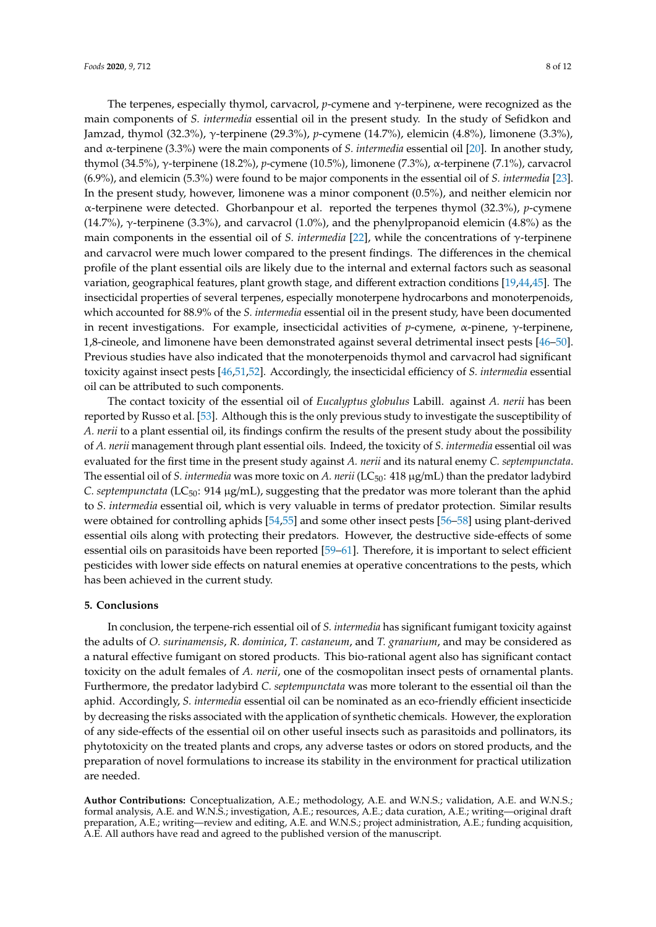The terpenes, especially thymol, carvacrol, *p*-cymene and γ-terpinene, were recognized as the main components of *S. intermedia* essential oil in the present study. In the study of Sefidkon and Jamzad, thymol (32.3%), γ-terpinene (29.3%), *p*-cymene (14.7%), elemicin (4.8%), limonene (3.3%), and α-terpinene (3.3%) were the main components of *S. intermedia* essential oil [\[20\]](#page-8-11). In another study, thymol (34.5%), γ-terpinene (18.2%), *p*-cymene (10.5%), limonene (7.3%), α-terpinene (7.1%), carvacrol (6.9%), and elemicin (5.3%) were found to be major components in the essential oil of *S. intermedia* [\[23\]](#page-9-2). In the present study, however, limonene was a minor component (0.5%), and neither elemicin nor α-terpinene were detected. Ghorbanpour et al. reported the terpenes thymol (32.3%), *p*-cymene (14.7%),  $\gamma$ -terpinene (3.3%), and carvacrol (1.0%), and the phenylpropanoid elemicin (4.8%) as the main components in the essential oil of *S. intermedia* [\[22\]](#page-9-0), while the concentrations of γ-terpinene and carvacrol were much lower compared to the present findings. The differences in the chemical profile of the plant essential oils are likely due to the internal and external factors such as seasonal variation, geographical features, plant growth stage, and different extraction conditions [\[19](#page-8-10)[,44](#page-10-3)[,45\]](#page-10-4). The insecticidal properties of several terpenes, especially monoterpene hydrocarbons and monoterpenoids, which accounted for 88.9% of the *S. intermedia* essential oil in the present study, have been documented in recent investigations. For example, insecticidal activities of *p*-cymene, α-pinene, γ-terpinene, 1,8-cineole, and limonene have been demonstrated against several detrimental insect pests [\[46–](#page-10-5)[50\]](#page-10-6). Previous studies have also indicated that the monoterpenoids thymol and carvacrol had significant toxicity against insect pests [\[46](#page-10-5)[,51](#page-10-7)[,52\]](#page-10-8). Accordingly, the insecticidal efficiency of *S. intermedia* essential oil can be attributed to such components.

The contact toxicity of the essential oil of *Eucalyptus globulus* Labill. against *A. nerii* has been reported by Russo et al. [\[53\]](#page-10-9). Although this is the only previous study to investigate the susceptibility of *A. nerii* to a plant essential oil, its findings confirm the results of the present study about the possibility of *A. nerii* management through plant essential oils. Indeed, the toxicity of *S. intermedia* essential oil was evaluated for the first time in the present study against *A. nerii* and its natural enemy *C. septempunctata*. The essential oil of *S. intermedia* was more toxic on *A. nerii* (LC<sub>50</sub>: 418 µg/mL) than the predator ladybird *C. septempunctata* (LC<sub>50</sub>: 914 µg/mL), suggesting that the predator was more tolerant than the aphid to *S. intermedia* essential oil, which is very valuable in terms of predator protection. Similar results were obtained for controlling aphids [\[54,](#page-10-10)[55\]](#page-10-11) and some other insect pests [\[56–](#page-10-12)[58\]](#page-10-13) using plant-derived essential oils along with protecting their predators. However, the destructive side-effects of some essential oils on parasitoids have been reported [\[59–](#page-10-14)[61\]](#page-11-0). Therefore, it is important to select efficient pesticides with lower side effects on natural enemies at operative concentrations to the pests, which has been achieved in the current study.

# **5. Conclusions**

In conclusion, the terpene-rich essential oil of *S. intermedia* has significant fumigant toxicity against the adults of *O. surinamensis*, *R. dominica*, *T. castaneum*, and *T. granarium*, and may be considered as a natural effective fumigant on stored products. This bio-rational agent also has significant contact toxicity on the adult females of *A. nerii*, one of the cosmopolitan insect pests of ornamental plants. Furthermore, the predator ladybird *C. septempunctata* was more tolerant to the essential oil than the aphid. Accordingly, *S. intermedia* essential oil can be nominated as an eco-friendly efficient insecticide by decreasing the risks associated with the application of synthetic chemicals. However, the exploration of any side-effects of the essential oil on other useful insects such as parasitoids and pollinators, its phytotoxicity on the treated plants and crops, any adverse tastes or odors on stored products, and the preparation of novel formulations to increase its stability in the environment for practical utilization are needed.

**Author Contributions:** Conceptualization, A.E.; methodology, A.E. and W.N.S.; validation, A.E. and W.N.S.; formal analysis, A.E. and W.N.S.; investigation, A.E.; resources, A.E.; data curation, A.E.; writing—original draft preparation, A.E.; writing—review and editing, A.E. and W.N.S.; project administration, A.E.; funding acquisition, A.E. All authors have read and agreed to the published version of the manuscript.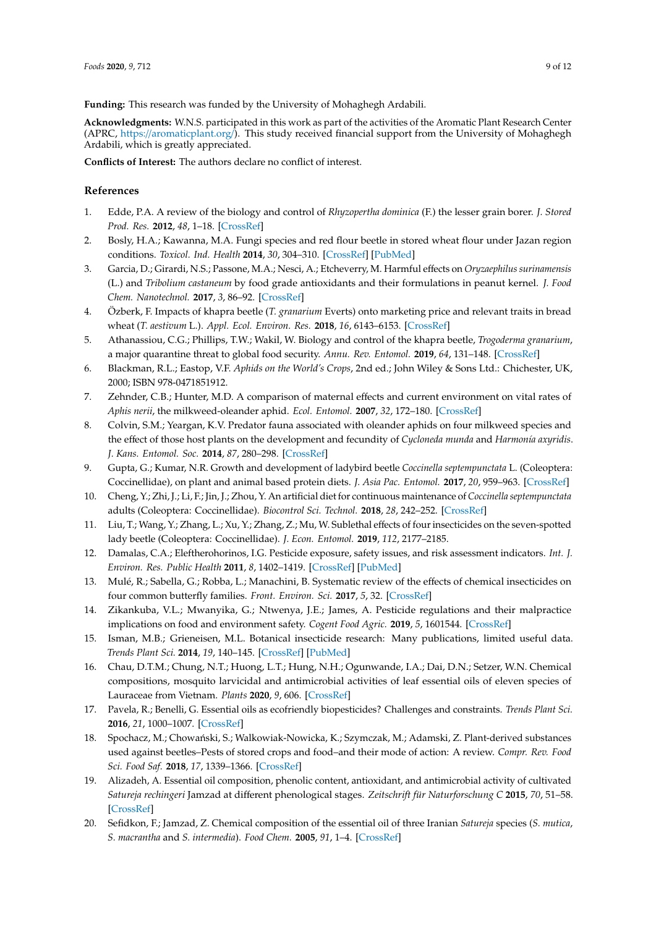**Funding:** This research was funded by the University of Mohaghegh Ardabili.

**Acknowledgments:** W.N.S. participated in this work as part of the activities of the Aromatic Plant Research Center (APRC, https://[aromaticplant.org](https://aromaticplant.org/)/). This study received financial support from the University of Mohaghegh Ardabili, which is greatly appreciated.

**Conflicts of Interest:** The authors declare no conflict of interest.

# **References**

- <span id="page-8-0"></span>1. Edde, P.A. A review of the biology and control of *Rhyzopertha dominica* (F.) the lesser grain borer. *J. Stored Prod. Res.* **2012**, *48*, 1–18. [\[CrossRef\]](http://dx.doi.org/10.1016/j.jspr.2011.08.007)
- 2. Bosly, H.A.; Kawanna, M.A. Fungi species and red flour beetle in stored wheat flour under Jazan region conditions. *Toxicol. Ind. Health* **2014**, *30*, 304–310. [\[CrossRef\]](http://dx.doi.org/10.1177/0748233712457449) [\[PubMed\]](http://www.ncbi.nlm.nih.gov/pubmed/22903175)
- 3. Garcia, D.; Girardi, N.S.; Passone, M.A.; Nesci, A.; Etcheverry, M. Harmful effects on *Oryzaephilus surinamensis* (L.) and *Tribolium castaneum* by food grade antioxidants and their formulations in peanut kernel. *J. Food Chem. Nanotechnol.* **2017**, *3*, 86–92. [\[CrossRef\]](http://dx.doi.org/10.17756/jfcn.2017-042)
- 4. Özberk, F. Impacts of khapra beetle (*T. granarium* Everts) onto marketing price and relevant traits in bread wheat (*T. aestivum* L.). *Appl. Ecol. Environ. Res.* **2018**, *16*, 6143–6153. [\[CrossRef\]](http://dx.doi.org/10.15666/aeer/1605_61436153)
- <span id="page-8-1"></span>5. Athanassiou, C.G.; Phillips, T.W.; Wakil, W. Biology and control of the khapra beetle, *Trogoderma granarium*, a major quarantine threat to global food security. *Annu. Rev. Entomol.* **2019**, *64*, 131–148. [\[CrossRef\]](http://dx.doi.org/10.1146/annurev-ento-011118-111804)
- <span id="page-8-2"></span>6. Blackman, R.L.; Eastop, V.F. *Aphids on the World's Crops*, 2nd ed.; John Wiley & Sons Ltd.: Chichester, UK, 2000; ISBN 978-0471851912.
- 7. Zehnder, C.B.; Hunter, M.D. A comparison of maternal effects and current environment on vital rates of *Aphis nerii*, the milkweed-oleander aphid. *Ecol. Entomol.* **2007**, *32*, 172–180. [\[CrossRef\]](http://dx.doi.org/10.1111/j.1365-2311.2007.00853.x)
- <span id="page-8-3"></span>8. Colvin, S.M.; Yeargan, K.V. Predator fauna associated with oleander aphids on four milkweed species and the effect of those host plants on the development and fecundity of *Cycloneda munda* and *Harmonía axyridis*. *J. Kans. Entomol. Soc.* **2014**, *87*, 280–298. [\[CrossRef\]](http://dx.doi.org/10.2317/JKES130628.1)
- <span id="page-8-4"></span>9. Gupta, G.; Kumar, N.R. Growth and development of ladybird beetle *Coccinella septempunctata* L. (Coleoptera: Coccinellidae), on plant and animal based protein diets. *J. Asia Pac. Entomol.* **2017**, *20*, 959–963. [\[CrossRef\]](http://dx.doi.org/10.1016/j.aspen.2017.07.008)
- 10. Cheng, Y.; Zhi, J.; Li, F.; Jin, J.; Zhou, Y. An artificial diet for continuous maintenance of *Coccinella septempunctata* adults (Coleoptera: Coccinellidae). *Biocontrol Sci. Technol.* **2018**, *28*, 242–252. [\[CrossRef\]](http://dx.doi.org/10.1080/09583157.2018.1439450)
- <span id="page-8-5"></span>11. Liu, T.; Wang, Y.; Zhang, L.; Xu, Y.; Zhang, Z.; Mu, W. Sublethal effects of four insecticides on the seven-spotted lady beetle (Coleoptera: Coccinellidae). *J. Econ. Entomol.* **2019**, *112*, 2177–2185.
- <span id="page-8-6"></span>12. Damalas, C.A.; Eleftherohorinos, I.G. Pesticide exposure, safety issues, and risk assessment indicators. *Int. J. Environ. Res. Public Health* **2011**, *8*, 1402–1419. [\[CrossRef\]](http://dx.doi.org/10.3390/ijerph8051402) [\[PubMed\]](http://www.ncbi.nlm.nih.gov/pubmed/21655127)
- 13. Mulé, R.; Sabella, G.; Robba, L.; Manachini, B. Systematic review of the effects of chemical insecticides on four common butterfly families. *Front. Environ. Sci.* **2017**, *5*, 32. [\[CrossRef\]](http://dx.doi.org/10.3389/fenvs.2017.00032)
- <span id="page-8-7"></span>14. Zikankuba, V.L.; Mwanyika, G.; Ntwenya, J.E.; James, A. Pesticide regulations and their malpractice implications on food and environment safety. *Cogent Food Agric.* **2019**, *5*, 1601544. [\[CrossRef\]](http://dx.doi.org/10.1080/23311932.2019.1601544)
- <span id="page-8-8"></span>15. Isman, M.B.; Grieneisen, M.L. Botanical insecticide research: Many publications, limited useful data. *Trends Plant Sci.* **2014**, *19*, 140–145. [\[CrossRef\]](http://dx.doi.org/10.1016/j.tplants.2013.11.005) [\[PubMed\]](http://www.ncbi.nlm.nih.gov/pubmed/24332226)
- 16. Chau, D.T.M.; Chung, N.T.; Huong, L.T.; Hung, N.H.; Ogunwande, I.A.; Dai, D.N.; Setzer, W.N. Chemical compositions, mosquito larvicidal and antimicrobial activities of leaf essential oils of eleven species of Lauraceae from Vietnam. *Plants* **2020**, *9*, 606. [\[CrossRef\]](http://dx.doi.org/10.3390/plants9050606)
- 17. Pavela, R.; Benelli, G. Essential oils as ecofriendly biopesticides? Challenges and constraints. *Trends Plant Sci.* **2016**, *21*, 1000–1007. [\[CrossRef\]](http://dx.doi.org/10.1016/j.tplants.2016.10.005)
- <span id="page-8-9"></span>18. Spochacz, M.; Chowański, S.; Walkowiak-Nowicka, K.; Szymczak, M.; Adamski, Z. Plant-derived substances used against beetles–Pests of stored crops and food–and their mode of action: A review. *Compr. Rev. Food Sci. Food Saf.* **2018**, *17*, 1339–1366. [\[CrossRef\]](http://dx.doi.org/10.1111/1541-4337.12377)
- <span id="page-8-10"></span>19. Alizadeh, A. Essential oil composition, phenolic content, antioxidant, and antimicrobial activity of cultivated *Satureja rechingeri* Jamzad at different phenological stages. *Zeitschrift für Naturforschung C* **2015**, *70*, 51–58. [\[CrossRef\]](http://dx.doi.org/10.1515/znc-2014-4121)
- <span id="page-8-11"></span>20. Sefidkon, F.; Jamzad, Z. Chemical composition of the essential oil of three Iranian *Satureja* species (*S. mutica*, *S. macrantha* and *S. intermedia*). *Food Chem.* **2005**, *91*, 1–4. [\[CrossRef\]](http://dx.doi.org/10.1016/j.foodchem.2004.01.027)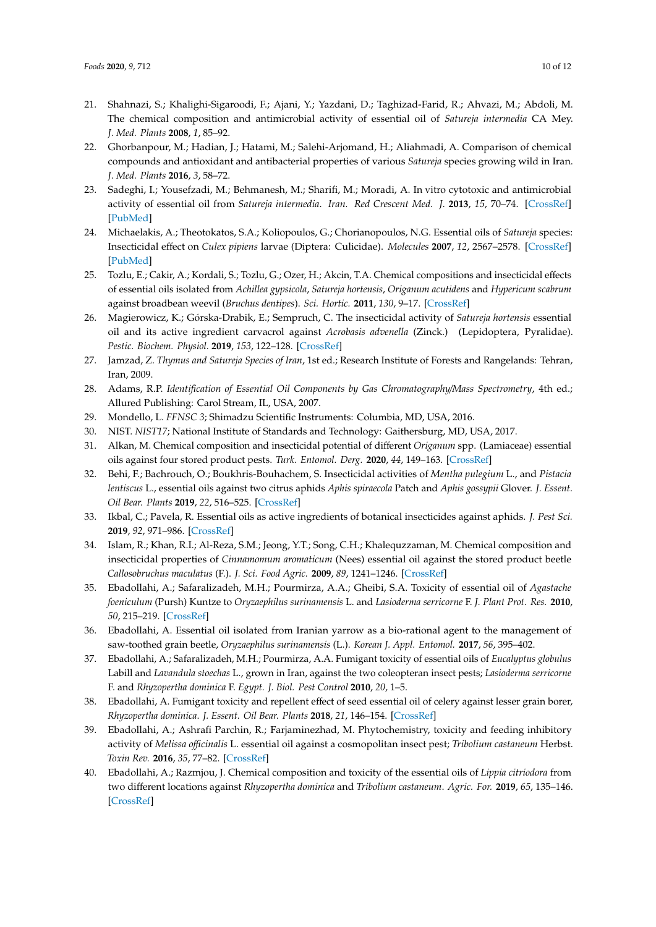- <span id="page-9-1"></span>21. Shahnazi, S.; Khalighi-Sigaroodi, F.; Ajani, Y.; Yazdani, D.; Taghizad-Farid, R.; Ahvazi, M.; Abdoli, M. The chemical composition and antimicrobial activity of essential oil of *Satureja intermedia* CA Mey. *J. Med. Plants* **2008**, *1*, 85–92.
- <span id="page-9-0"></span>22. Ghorbanpour, M.; Hadian, J.; Hatami, M.; Salehi-Arjomand, H.; Aliahmadi, A. Comparison of chemical compounds and antioxidant and antibacterial properties of various *Satureja* species growing wild in Iran. *J. Med. Plants* **2016**, *3*, 58–72.
- <span id="page-9-2"></span>23. Sadeghi, I.; Yousefzadi, M.; Behmanesh, M.; Sharifi, M.; Moradi, A. In vitro cytotoxic and antimicrobial activity of essential oil from *Satureja intermedia*. *Iran. Red Crescent Med. J.* **2013**, *15*, 70–74. [\[CrossRef\]](http://dx.doi.org/10.5812/ircmj.4989) [\[PubMed\]](http://www.ncbi.nlm.nih.gov/pubmed/23487431)
- <span id="page-9-3"></span>24. Michaelakis, A.; Theotokatos, S.A.; Koliopoulos, G.; Chorianopoulos, N.G. Essential oils of *Satureja* species: Insecticidal effect on *Culex pipiens* larvae (Diptera: Culicidae). *Molecules* **2007**, *12*, 2567–2578. [\[CrossRef\]](http://dx.doi.org/10.3390/12122567) [\[PubMed\]](http://www.ncbi.nlm.nih.gov/pubmed/18259143)
- 25. Tozlu, E.; Cakir, A.; Kordali, S.; Tozlu, G.; Ozer, H.; Akcin, T.A. Chemical compositions and insecticidal effects of essential oils isolated from *Achillea gypsicola*, *Satureja hortensis*, *Origanum acutidens* and *Hypericum scabrum* against broadbean weevil (*Bruchus dentipes*). *Sci. Hortic.* **2011**, *130*, 9–17. [\[CrossRef\]](http://dx.doi.org/10.1016/j.scienta.2011.06.019)
- <span id="page-9-4"></span>26. Magierowicz, K.; Górska-Drabik, E.; Sempruch, C. The insecticidal activity of *Satureja hortensis* essential oil and its active ingredient carvacrol against *Acrobasis advenella* (Zinck.) (Lepidoptera, Pyralidae). *Pestic. Biochem. Physiol.* **2019**, *153*, 122–128. [\[CrossRef\]](http://dx.doi.org/10.1016/j.pestbp.2018.11.010)
- <span id="page-9-5"></span>27. Jamzad, Z. *Thymus and Satureja Species of Iran*, 1st ed.; Research Institute of Forests and Rangelands: Tehran, Iran, 2009.
- <span id="page-9-6"></span>28. Adams, R.P. *Identification of Essential Oil Components by Gas Chromatography*/*Mass Spectrometry*, 4th ed.; Allured Publishing: Carol Stream, IL, USA, 2007.
- 29. Mondello, L. *FFNSC 3*; Shimadzu Scientific Instruments: Columbia, MD, USA, 2016.
- <span id="page-9-7"></span>30. NIST. *NIST17*; National Institute of Standards and Technology: Gaithersburg, MD, USA, 2017.
- <span id="page-9-8"></span>31. Alkan, M. Chemical composition and insecticidal potential of different *Origanum* spp. (Lamiaceae) essential oils against four stored product pests. *Turk. Entomol. Derg.* **2020**, *44*, 149–163. [\[CrossRef\]](http://dx.doi.org/10.16970/entoted.620387)
- <span id="page-9-9"></span>32. Behi, F.; Bachrouch, O.; Boukhris-Bouhachem, S. Insecticidal activities of *Mentha pulegium* L., and *Pistacia lentiscus* L., essential oils against two citrus aphids *Aphis spiraecola* Patch and *Aphis gossypii* Glover. *J. Essent. Oil Bear. Plants* **2019**, *22*, 516–525. [\[CrossRef\]](http://dx.doi.org/10.1080/0972060X.2019.1611483)
- <span id="page-9-10"></span>33. Ikbal, C.; Pavela, R. Essential oils as active ingredients of botanical insecticides against aphids. *J. Pest Sci.* **2019**, *92*, 971–986. [\[CrossRef\]](http://dx.doi.org/10.1007/s10340-019-01089-6)
- <span id="page-9-11"></span>34. Islam, R.; Khan, R.I.; Al-Reza, S.M.; Jeong, Y.T.; Song, C.H.; Khalequzzaman, M. Chemical composition and insecticidal properties of *Cinnamomum aromaticum* (Nees) essential oil against the stored product beetle *Callosobruchus maculatus* (F.). *J. Sci. Food Agric.* **2009**, *89*, 1241–1246. [\[CrossRef\]](http://dx.doi.org/10.1002/jsfa.3582)
- 35. Ebadollahi, A.; Safaralizadeh, M.H.; Pourmirza, A.A.; Gheibi, S.A. Toxicity of essential oil of *Agastache foeniculum* (Pursh) Kuntze to *Oryzaephilus surinamensis* L. and *Lasioderma serricorne* F. *J. Plant Prot. Res.* **2010**, *50*, 215–219. [\[CrossRef\]](http://dx.doi.org/10.2478/v10045-010-0037-x)
- <span id="page-9-12"></span>36. Ebadollahi, A. Essential oil isolated from Iranian yarrow as a bio-rational agent to the management of saw-toothed grain beetle, *Oryzaephilus surinamensis* (L.). *Korean J. Appl. Entomol.* **2017**, *56*, 395–402.
- <span id="page-9-13"></span>37. Ebadollahi, A.; Safaralizadeh, M.H.; Pourmirza, A.A. Fumigant toxicity of essential oils of *Eucalyptus globulus* Labill and *Lavandula stoechas* L., grown in Iran, against the two coleopteran insect pests; *Lasioderma serricorne* F. and *Rhyzopertha dominica* F. *Egypt. J. Biol. Pest Control* **2010**, *20*, 1–5.
- <span id="page-9-14"></span>38. Ebadollahi, A. Fumigant toxicity and repellent effect of seed essential oil of celery against lesser grain borer, *Rhyzopertha dominica*. *J. Essent. Oil Bear. Plants* **2018**, *21*, 146–154. [\[CrossRef\]](http://dx.doi.org/10.1080/0972060X.2018.1445036)
- <span id="page-9-15"></span>39. Ebadollahi, A.; Ashrafi Parchin, R.; Farjaminezhad, M. Phytochemistry, toxicity and feeding inhibitory activity of *Melissa o*ffi*cinalis* L. essential oil against a cosmopolitan insect pest; *Tribolium castaneum* Herbst. *Toxin Rev.* **2016**, *35*, 77–82. [\[CrossRef\]](http://dx.doi.org/10.1080/15569543.2016.1199572)
- 40. Ebadollahi, A.; Razmjou, J. Chemical composition and toxicity of the essential oils of *Lippia citriodora* from two different locations against *Rhyzopertha dominica* and *Tribolium castaneum*. *Agric. For.* **2019**, *65*, 135–146. [\[CrossRef\]](http://dx.doi.org/10.17707/AgricultForest.65.3.11)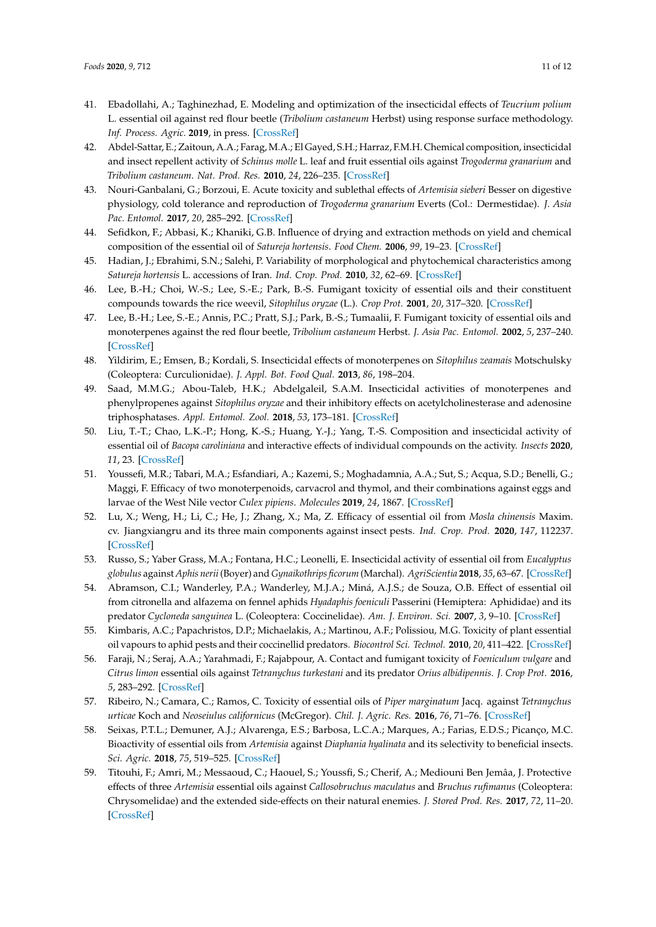- <span id="page-10-0"></span>41. Ebadollahi, A.; Taghinezhad, E. Modeling and optimization of the insecticidal effects of *Teucrium polium* L. essential oil against red flour beetle (*Tribolium castaneum* Herbst) using response surface methodology. *Inf. Process. Agric.* **2019**, in press. [\[CrossRef\]](http://dx.doi.org/10.1016/j.inpa.2019.08.004)
- <span id="page-10-1"></span>42. Abdel-Sattar, E.; Zaitoun, A.A.; Farag, M.A.; El Gayed, S.H.; Harraz, F.M.H. Chemical composition, insecticidal and insect repellent activity of *Schinus molle* L. leaf and fruit essential oils against *Trogoderma granarium* and *Tribolium castaneum*. *Nat. Prod. Res.* **2010**, *24*, 226–235. [\[CrossRef\]](http://dx.doi.org/10.1080/14786410802346223)
- <span id="page-10-2"></span>43. Nouri-Ganbalani, G.; Borzoui, E. Acute toxicity and sublethal effects of *Artemisia sieberi* Besser on digestive physiology, cold tolerance and reproduction of *Trogoderma granarium* Everts (Col.: Dermestidae). *J. Asia Pac. Entomol.* **2017**, *20*, 285–292. [\[CrossRef\]](http://dx.doi.org/10.1016/j.aspen.2017.01.002)
- <span id="page-10-3"></span>44. Sefidkon, F.; Abbasi, K.; Khaniki, G.B. Influence of drying and extraction methods on yield and chemical composition of the essential oil of *Satureja hortensis*. *Food Chem.* **2006**, *99*, 19–23. [\[CrossRef\]](http://dx.doi.org/10.1016/j.foodchem.2005.07.026)
- <span id="page-10-4"></span>45. Hadian, J.; Ebrahimi, S.N.; Salehi, P. Variability of morphological and phytochemical characteristics among *Satureja hortensis* L. accessions of Iran. *Ind. Crop. Prod.* **2010**, *32*, 62–69. [\[CrossRef\]](http://dx.doi.org/10.1016/j.indcrop.2010.03.006)
- <span id="page-10-5"></span>46. Lee, B.-H.; Choi, W.-S.; Lee, S.-E.; Park, B.-S. Fumigant toxicity of essential oils and their constituent compounds towards the rice weevil, *Sitophilus oryzae* (L.). *Crop Prot.* **2001**, *20*, 317–320. [\[CrossRef\]](http://dx.doi.org/10.1016/S0261-2194(00)00158-7)
- 47. Lee, B.-H.; Lee, S.-E.; Annis, P.C.; Pratt, S.J.; Park, B.-S.; Tumaalii, F. Fumigant toxicity of essential oils and monoterpenes against the red flour beetle, *Tribolium castaneum* Herbst. *J. Asia Pac. Entomol.* **2002**, *5*, 237–240. [\[CrossRef\]](http://dx.doi.org/10.1016/S1226-8615(08)60158-2)
- 48. Yildirim, E.; Emsen, B.; Kordali, S. Insecticidal effects of monoterpenes on *Sitophilus zeamais* Motschulsky (Coleoptera: Curculionidae). *J. Appl. Bot. Food Qual.* **2013**, *86*, 198–204.
- 49. Saad, M.M.G.; Abou-Taleb, H.K.; Abdelgaleil, S.A.M. Insecticidal activities of monoterpenes and phenylpropenes against *Sitophilus oryzae* and their inhibitory effects on acetylcholinesterase and adenosine triphosphatases. *Appl. Entomol. Zool.* **2018**, *53*, 173–181. [\[CrossRef\]](http://dx.doi.org/10.1007/s13355-017-0532-x)
- <span id="page-10-6"></span>50. Liu, T.-T.; Chao, L.K.-P.; Hong, K.-S.; Huang, Y.-J.; Yang, T.-S. Composition and insecticidal activity of essential oil of *Bacopa caroliniana* and interactive effects of individual compounds on the activity. *Insects* **2020**, *11*, 23. [\[CrossRef\]](http://dx.doi.org/10.3390/insects11010023)
- <span id="page-10-7"></span>51. Youssefi, M.R.; Tabari, M.A.; Esfandiari, A.; Kazemi, S.; Moghadamnia, A.A.; Sut, S.; Acqua, S.D.; Benelli, G.; Maggi, F. Efficacy of two monoterpenoids, carvacrol and thymol, and their combinations against eggs and larvae of the West Nile vector *Culex pipiens*. *Molecules* **2019**, *24*, 1867. [\[CrossRef\]](http://dx.doi.org/10.3390/molecules24101867)
- <span id="page-10-8"></span>52. Lu, X.; Weng, H.; Li, C.; He, J.; Zhang, X.; Ma, Z. Efficacy of essential oil from *Mosla chinensis* Maxim. cv. Jiangxiangru and its three main components against insect pests. *Ind. Crop. Prod.* **2020**, *147*, 112237. [\[CrossRef\]](http://dx.doi.org/10.1016/j.indcrop.2020.112237)
- <span id="page-10-9"></span>53. Russo, S.; Yaber Grass, M.A.; Fontana, H.C.; Leonelli, E. Insecticidal activity of essential oil from *Eucalyptus globulus* against *Aphis nerii* (Boyer) and *Gynaikothrips ficorum* (Marchal). *AgriScientia* **2018**, *35*, 63–67. [\[CrossRef\]](http://dx.doi.org/10.31047/1668.298x.v1.n35.20458)
- <span id="page-10-10"></span>54. Abramson, C.I.; Wanderley, P.A.; Wanderley, M.J.A.; Miná, A.J.S.; de Souza, O.B. Effect of essential oil from citronella and alfazema on fennel aphids *Hyadaphis foeniculi* Passerini (Hemiptera: Aphididae) and its predator *Cycloneda sanguinea* L. (Coleoptera: Coccinelidae). *Am. J. Environ. Sci.* **2007**, *3*, 9–10. [\[CrossRef\]](http://dx.doi.org/10.3844/ajessp.2007.9.10)
- <span id="page-10-11"></span>55. Kimbaris, A.C.; Papachristos, D.P.; Michaelakis, A.; Martinou, A.F.; Polissiou, M.G. Toxicity of plant essential oil vapours to aphid pests and their coccinellid predators. *Biocontrol Sci. Technol.* **2010**, *20*, 411–422. [\[CrossRef\]](http://dx.doi.org/10.1080/09583150903569407)
- <span id="page-10-12"></span>56. Faraji, N.; Seraj, A.A.; Yarahmadi, F.; Rajabpour, A. Contact and fumigant toxicity of *Foeniculum vulgare* and *Citrus limon* essential oils against *Tetranychus turkestani* and its predator *Orius albidipennis*. *J. Crop Prot.* **2016**, *5*, 283–292. [\[CrossRef\]](http://dx.doi.org/10.18869/modares.jcp.5.2.283)
- 57. Ribeiro, N.; Camara, C.; Ramos, C. Toxicity of essential oils of *Piper marginatum* Jacq. against *Tetranychus urticae* Koch and *Neoseiulus californicus* (McGregor). *Chil. J. Agric. Res.* **2016**, *76*, 71–76. [\[CrossRef\]](http://dx.doi.org/10.4067/S0718-58392016000100010)
- <span id="page-10-13"></span>58. Seixas, P.T.L.; Demuner, A.J.; Alvarenga, E.S.; Barbosa, L.C.A.; Marques, A.; Farias, E.D.S.; Picanço, M.C. Bioactivity of essential oils from *Artemisia* against *Diaphania hyalinata* and its selectivity to beneficial insects. *Sci. Agric.* **2018**, *75*, 519–525. [\[CrossRef\]](http://dx.doi.org/10.1590/1678-992x-2016-0461)
- <span id="page-10-14"></span>59. Titouhi, F.; Amri, M.; Messaoud, C.; Haouel, S.; Youssfi, S.; Cherif, A.; Mediouni Ben Jemâa, J. Protective effects of three *Artemisia* essential oils against *Callosobruchus maculatus* and *Bruchus rufimanus* (Coleoptera: Chrysomelidae) and the extended side-effects on their natural enemies. *J. Stored Prod. Res.* **2017**, *72*, 11–20. [\[CrossRef\]](http://dx.doi.org/10.1016/j.jspr.2017.02.007)